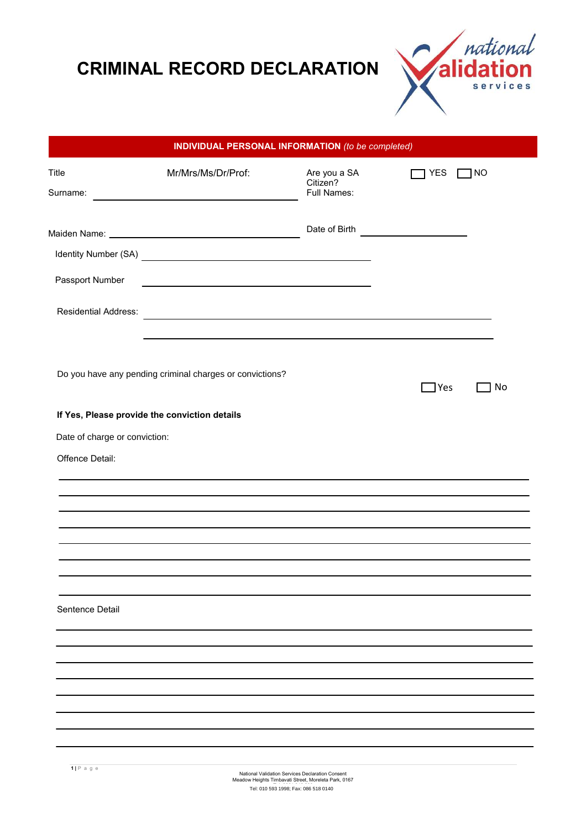## **CRIMINAL RECORD DECLARATION**



| <b>INDIVIDUAL PERSONAL INFORMATION</b> (to be completed) |                                                                     |                                                |                               |  |
|----------------------------------------------------------|---------------------------------------------------------------------|------------------------------------------------|-------------------------------|--|
| Title<br>Surname:                                        | Mr/Mrs/Ms/Dr/Prof:                                                  | Are you a SA<br>Citizen?<br><b>Full Names:</b> | <b>YES</b><br>1 <sub>NO</sub> |  |
|                                                          |                                                                     |                                                |                               |  |
|                                                          |                                                                     |                                                |                               |  |
| Passport Number                                          | <u> 1980 - Johann Barn, amerikansk politiker (d. 1980)</u>          |                                                |                               |  |
| <b>Residential Address:</b>                              | <u> 1989 - Johann Stein, mars an deus Amerikaansk kommunister (</u> |                                                |                               |  |
|                                                          | Do you have any pending criminal charges or convictions?            |                                                | $\Box$ Yes<br>No.             |  |
|                                                          | If Yes, Please provide the conviction details                       |                                                |                               |  |
| Date of charge or conviction:                            |                                                                     |                                                |                               |  |
| Offence Detail:                                          |                                                                     |                                                |                               |  |
|                                                          |                                                                     |                                                |                               |  |
| Sentence Detail                                          |                                                                     |                                                |                               |  |
|                                                          |                                                                     |                                                |                               |  |
|                                                          |                                                                     |                                                |                               |  |
|                                                          |                                                                     |                                                |                               |  |
|                                                          |                                                                     |                                                |                               |  |
|                                                          |                                                                     |                                                |                               |  |